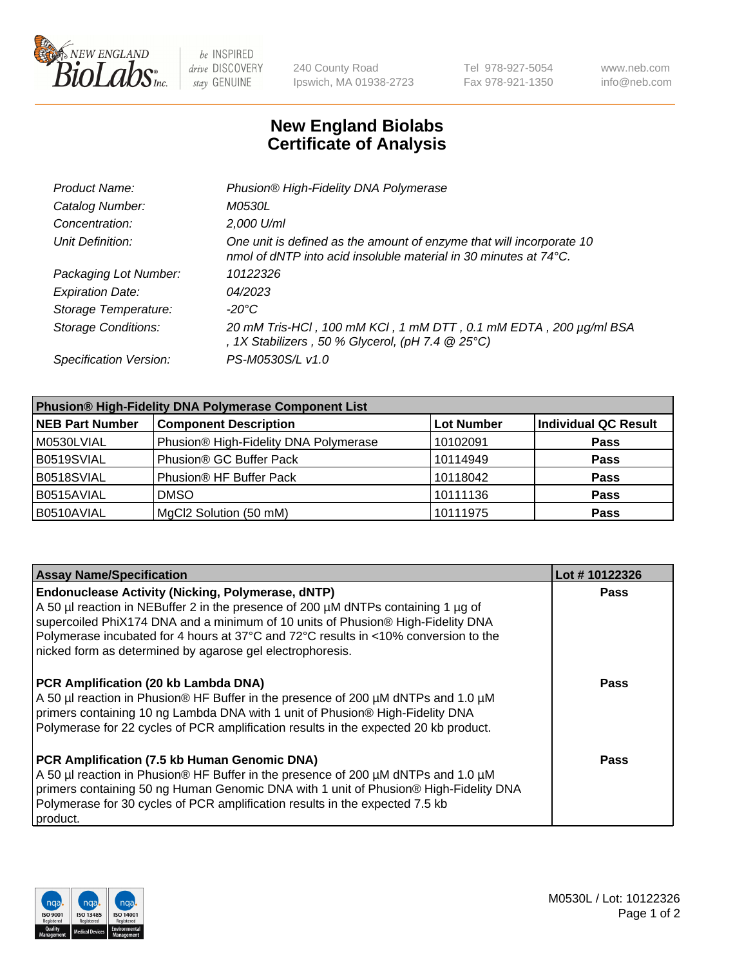

be INSPIRED drive DISCOVERY stay GENUINE

240 County Road Ipswich, MA 01938-2723 Tel 978-927-5054 Fax 978-921-1350 www.neb.com info@neb.com

## **New England Biolabs Certificate of Analysis**

| Product Name:              | Phusion® High-Fidelity DNA Polymerase                                                                                                              |
|----------------------------|----------------------------------------------------------------------------------------------------------------------------------------------------|
| Catalog Number:            | <i>M0530L</i>                                                                                                                                      |
| Concentration:             | 2,000 U/ml                                                                                                                                         |
| Unit Definition:           | One unit is defined as the amount of enzyme that will incorporate 10<br>nmol of dNTP into acid insoluble material in 30 minutes at $74^{\circ}$ C. |
| Packaging Lot Number:      | 10122326                                                                                                                                           |
| <b>Expiration Date:</b>    | 04/2023                                                                                                                                            |
| Storage Temperature:       | -20°C                                                                                                                                              |
| <b>Storage Conditions:</b> | 20 mM Tris-HCl, 100 mM KCl, 1 mM DTT, 0.1 mM EDTA, 200 µg/ml BSA<br>, 1X Stabilizers, 50 % Glycerol, (pH 7.4 $@25°C$ )                             |
| Specification Version:     | PS-M0530S/L v1.0                                                                                                                                   |

| <b>Phusion® High-Fidelity DNA Polymerase Component List</b> |                                       |                   |                             |  |
|-------------------------------------------------------------|---------------------------------------|-------------------|-----------------------------|--|
| <b>NEB Part Number</b>                                      | <b>Component Description</b>          | <b>Lot Number</b> | <b>Individual QC Result</b> |  |
| M0530LVIAL                                                  | Phusion® High-Fidelity DNA Polymerase | 10102091          | <b>Pass</b>                 |  |
| B0519SVIAL                                                  | Phusion <sup>®</sup> GC Buffer Pack   | 10114949          | <b>Pass</b>                 |  |
| B0518SVIAL                                                  | Phusion® HF Buffer Pack               | 10118042          | <b>Pass</b>                 |  |
| B0515AVIAL                                                  | <b>DMSO</b>                           | 10111136          | <b>Pass</b>                 |  |
| B0510AVIAL                                                  | MgCl2 Solution (50 mM)                | 10111975          | <b>Pass</b>                 |  |

| <b>Assay Name/Specification</b>                                                                                                                                                                                                                                                                                                                                                      | Lot #10122326 |
|--------------------------------------------------------------------------------------------------------------------------------------------------------------------------------------------------------------------------------------------------------------------------------------------------------------------------------------------------------------------------------------|---------------|
| <b>Endonuclease Activity (Nicking, Polymerase, dNTP)</b><br>A 50 µl reaction in NEBuffer 2 in the presence of 200 µM dNTPs containing 1 µg of<br>supercoiled PhiX174 DNA and a minimum of 10 units of Phusion® High-Fidelity DNA<br>Polymerase incubated for 4 hours at 37°C and 72°C results in <10% conversion to the<br>nicked form as determined by agarose gel electrophoresis. | <b>Pass</b>   |
| <b>PCR Amplification (20 kb Lambda DNA)</b><br>A 50 µl reaction in Phusion® HF Buffer in the presence of 200 µM dNTPs and 1.0 µM<br>primers containing 10 ng Lambda DNA with 1 unit of Phusion® High-Fidelity DNA<br>Polymerase for 22 cycles of PCR amplification results in the expected 20 kb product.                                                                            | Pass          |
| PCR Amplification (7.5 kb Human Genomic DNA)<br>A 50 µl reaction in Phusion® HF Buffer in the presence of 200 µM dNTPs and 1.0 µM<br>primers containing 50 ng Human Genomic DNA with 1 unit of Phusion® High-Fidelity DNA<br>Polymerase for 30 cycles of PCR amplification results in the expected 7.5 kb<br>product.                                                                | Pass          |